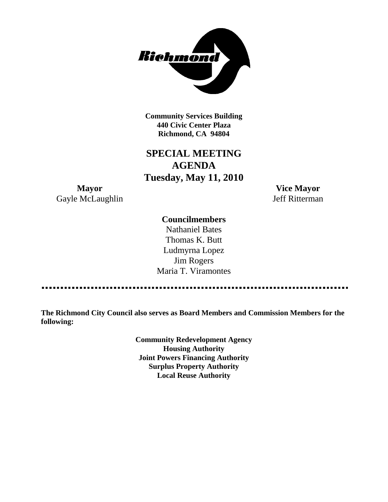

**Community Services Building 440 Civic Center Plaza Richmond, CA 94804**

# **SPECIAL MEETING AGENDA Tuesday, May 11, 2010**

**Mayor Vice Mayor** Gayle McLaughlin Jeff Ritterman

### **Councilmembers**

Nathaniel Bates Thomas K. Butt Ludmyrna Lopez Jim Rogers Maria T. Viramontes

**The Richmond City Council also serves as Board Members and Commission Members for the following:**

> **Community Redevelopment Agency Housing Authority Joint Powers Financing Authority Surplus Property Authority Local Reuse Authority**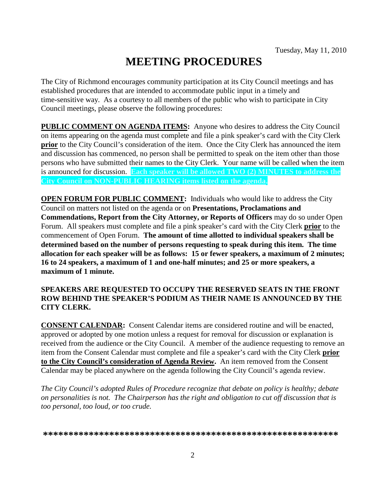# **MEETING PROCEDURES**

The City of Richmond encourages community participation at its City Council meetings and has established procedures that are intended to accommodate public input in a timely and time-sensitive way. As a courtesy to all members of the public who wish to participate in City Council meetings, please observe the following procedures:

**PUBLIC COMMENT ON AGENDA ITEMS:** Anyone who desires to address the City Council on items appearing on the agenda must complete and file a pink speaker's card with the City Clerk **prior** to the City Council's consideration of the item. Once the City Clerk has announced the item and discussion has commenced, no person shall be permitted to speak on the item other than those persons who have submitted their names to the City Clerk. Your name will be called when the item is announced for discussion. **Each speaker will be allowed TWO (2) MINUTES to address the City Council on NON-PUBLIC HEARING items listed on the agenda.**

**OPEN FORUM FOR PUBLIC COMMENT:** Individuals who would like to address the City Council on matters not listed on the agenda or on **Presentations, Proclamations and Commendations, Report from the City Attorney, or Reports of Officers** may do so under Open Forum. All speakers must complete and file a pink speaker's card with the City Clerk **prior** to the commencement of Open Forum. **The amount of time allotted to individual speakers shall be determined based on the number of persons requesting to speak during this item. The time allocation for each speaker will be as follows: 15 or fewer speakers, a maximum of 2 minutes; 16 to 24 speakers, a maximum of 1 and one-half minutes; and 25 or more speakers, a maximum of 1 minute.**

### **SPEAKERS ARE REQUESTED TO OCCUPY THE RESERVED SEATS IN THE FRONT ROW BEHIND THE SPEAKER'S PODIUM AS THEIR NAME IS ANNOUNCED BY THE CITY CLERK.**

**CONSENT CALENDAR:** Consent Calendar items are considered routine and will be enacted, approved or adopted by one motion unless a request for removal for discussion or explanation is received from the audience or the City Council. A member of the audience requesting to remove an item from the Consent Calendar must complete and file a speaker's card with the City Clerk **prior to the City Council's consideration of Agenda Review.** An item removed from the Consent Calendar may be placed anywhere on the agenda following the City Council's agenda review.

*The City Council's adopted Rules of Procedure recognize that debate on policy is healthy; debate on personalities is not. The Chairperson has the right and obligation to cut off discussion that is too personal, too loud, or too crude.*

**\*\*\*\*\*\*\*\*\*\*\*\*\*\*\*\*\*\*\*\*\*\*\*\*\*\*\*\*\*\*\*\*\*\*\*\*\*\*\*\*\*\*\*\*\*\*\*\*\*\*\*\*\*\*\*\*\*\***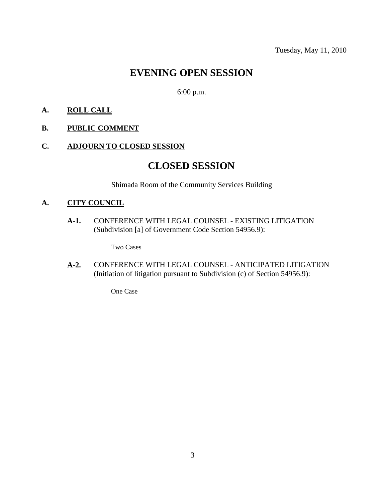# **EVENING OPEN SESSION**

6:00 p.m.

### **A. ROLL CALL**

### **B. PUBLIC COMMENT**

### **C. ADJOURN TO CLOSED SESSION**

## **CLOSED SESSION**

Shimada Room of the Community Services Building

### **A. CITY COUNCIL**

**A-1.** CONFERENCE WITH LEGAL COUNSEL - EXISTING LITIGATION (Subdivision [a] of Government Code Section 54956.9):

Two Cases

**A-2.** CONFERENCE WITH LEGAL COUNSEL - ANTICIPATED LITIGATION (Initiation of litigation pursuant to Subdivision (c) of Section 54956.9):

One Case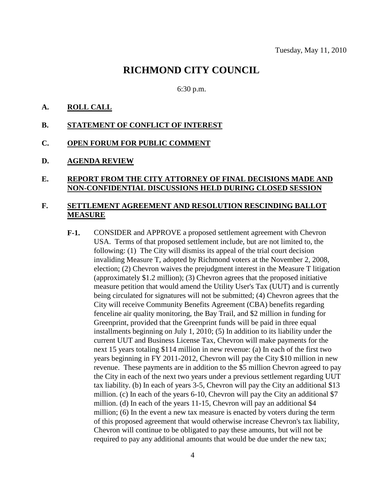### **RICHMOND CITY COUNCIL**

#### 6:30 p.m.

#### **A. ROLL CALL**

#### **B. STATEMENT OF CONFLICT OF INTEREST**

#### **C. OPEN FORUM FOR PUBLIC COMMENT**

#### **D. AGENDA REVIEW**

### **E. REPORT FROM THE CITY ATTORNEY OF FINAL DECISIONS MADE AND NON-CONFIDENTIAL DISCUSSIONS HELD DURING CLOSED SESSION**

#### **F. SETTLEMENT AGREEMENT AND RESOLUTION RESCINDING BALLOT MEASURE**

**F-1.** CONSIDER and APPROVE a proposed settlement agreement with Chevron USA. Terms of that proposed settlement include, but are not limited to, the following: (1) The City will dismiss its appeal of the trial court decision invaliding Measure T, adopted by Richmond voters at the November 2, 2008, election; (2) Chevron waives the prejudgment interest in the Measure T litigation (approximately \$1.2 million); (3) Chevron agrees that the proposed initiative measure petition that would amend the Utility User's Tax (UUT) and is currently being circulated for signatures will not be submitted; (4) Chevron agrees that the City will receive Community Benefits Agreement (CBA) benefits regarding fenceline air quality monitoring, the Bay Trail, and \$2 million in funding for Greenprint, provided that the Greenprint funds will be paid in three equal installments beginning on July 1, 2010; (5) In addition to its liability under the current UUT and Business License Tax, Chevron will make payments for the next 15 years totaling \$114 million in new revenue: (a) In each of the first two years beginning in FY 2011-2012, Chevron will pay the City \$10 million in new revenue. These payments are in addition to the \$5 million Chevron agreed to pay the City in each of the next two years under a previous settlement regarding UUT tax liability. (b) In each of years 3-5, Chevron will pay the City an additional \$13 million. (c) In each of the years 6-10, Chevron will pay the City an additional \$7 million. (d) In each of the years 11-15, Chevron will pay an additional \$4 million; (6) In the event a new tax measure is enacted by voters during the term of this proposed agreement that would otherwise increase Chevron's tax liability, Chevron will continue to be obligated to pay these amounts, but will not be required to pay any additional amounts that would be due under the new tax;